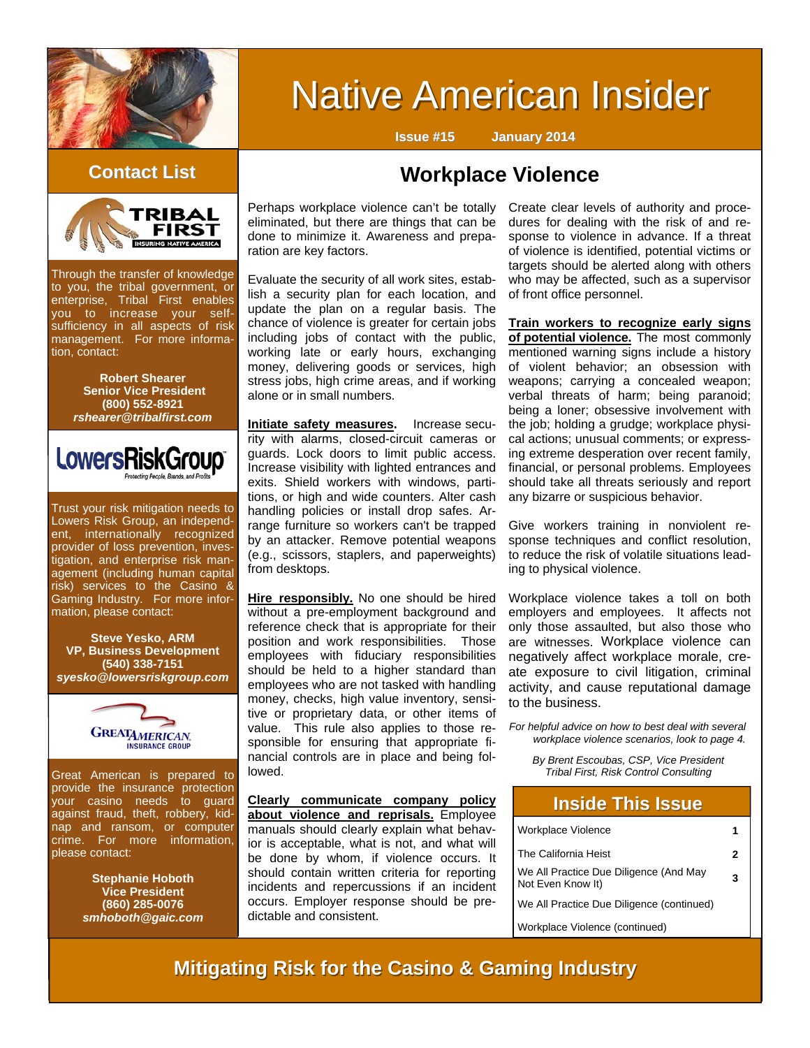

# **Native American Insider**

**Issue #15 January 2014**



Through the transfer of knowledge to you, the tribal government, or enterprise, Tribal First enables you to increase your selfsufficiency in all aspects of risk management. For more information, contact:

> **Robert Shearer Senior Vice President (800) 552-8921**  *rshearer@tribalfirst.com*



Trust your risk mitigation needs to Lowers Risk Group, an independent, internationally recognized provider of loss prevention, investigation, and enterprise risk management (including human capital risk) services to the Casino & Gaming Industry. For more information, please contact:

**Steve Yesko, ARM VP, Business Development (540) 338-7151**  *syesko@lowersriskgroup.com* 



Great American is prepared to provide the insurance protection your casino needs to guard against fraud, theft, robbery, kidnap and ransom, or computer crime. For more information, please contact:

> **Stephanie Hoboth Vice President (860) 285-0076**  *smhoboth@gaic.com*

# **Workplace Violence Contact List Contact List**

Perhaps workplace violence can't be totally eliminated, but there are things that can be done to minimize it. Awareness and preparation are key factors.

Evaluate the security of all work sites, establish a security plan for each location, and update the plan on a regular basis. The chance of violence is greater for certain jobs including jobs of contact with the public, working late or early hours, exchanging money, delivering goods or services, high stress jobs, high crime areas, and if working alone or in small numbers.

**Initiate safety measures.** Increase security with alarms, closed-circuit cameras or guards. Lock doors to limit public access. Increase visibility with lighted entrances and exits. Shield workers with windows, partitions, or high and wide counters. Alter cash handling policies or install drop safes. Arrange furniture so workers can't be trapped by an attacker. Remove potential weapons (e.g., scissors, staplers, and paperweights) from desktops.

**Hire responsibly.** No one should be hired without a pre-employment background and reference check that is appropriate for their position and work responsibilities. Those employees with fiduciary responsibilities should be held to a higher standard than employees who are not tasked with handling money, checks, high value inventory, sensitive or proprietary data, or other items of value. This rule also applies to those responsible for ensuring that appropriate financial controls are in place and being followed.

**Clearly communicate company policy about violence and reprisals.** Employee manuals should clearly explain what behavior is acceptable, what is not, and what will be done by whom, if violence occurs. It should contain written criteria for reporting incidents and repercussions if an incident occurs. Employer response should be predictable and consistent.

Create clear levels of authority and procedures for dealing with the risk of and response to violence in advance. If a threat of violence is identified, potential victims or targets should be alerted along with others who may be affected, such as a supervisor

of front office personnel.

**Train workers to recognize early signs of potential violence.** The most commonly mentioned warning signs include a history of violent behavior; an obsession with weapons; carrying a concealed weapon; verbal threats of harm; being paranoid; being a loner; obsessive involvement with the job; holding a grudge; workplace physical actions; unusual comments; or expressing extreme desperation over recent family, financial, or personal problems. Employees should take all threats seriously and report any bizarre or suspicious behavior.

Give workers training in nonviolent response techniques and conflict resolution, to reduce the risk of volatile situations leading to physical violence.

Workplace violence takes a toll on both employers and employees. It affects not only those assaulted, but also those who are witnesses. Workplace violence can negatively affect workplace morale, create exposure to civil litigation, criminal activity, and cause reputational damage to the business.

*For helpful advice on how to best deal with several workplace violence scenarios, look to page 4.* 

*By Brent Escoubas, CSP, Vice President Tribal First, Risk Control Consulting* 

### **Inside This Issue Inside This Issue**

| Workplace Violence                                          |   |
|-------------------------------------------------------------|---|
| The California Heist                                        | 2 |
| We All Practice Due Diligence (And May<br>Not Even Know It) | 3 |
| We All Practice Due Diligence (continued)                   |   |
| Workplace Violence (continued)                              |   |

**Mitigating Risk for the Casino & Gaming Industry**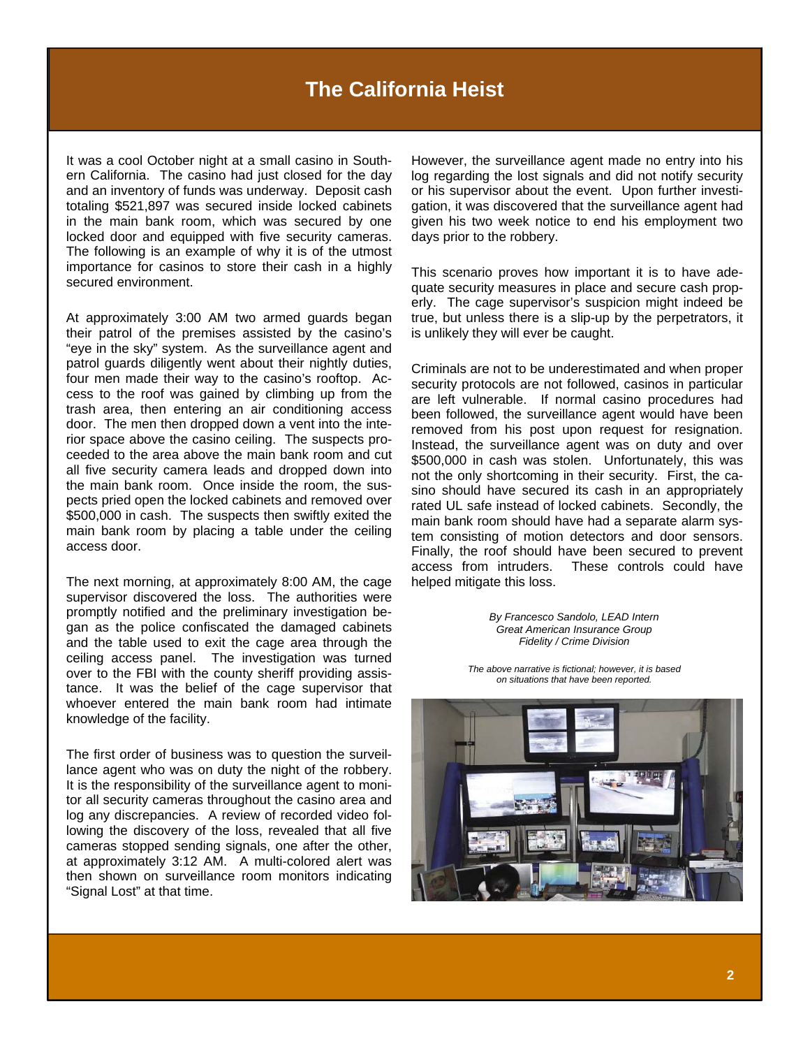It was a cool October night at a small casino in Southern California. The casino had just closed for the day and an inventory of funds was underway. Deposit cash totaling \$521,897 was secured inside locked cabinets in the main bank room, which was secured by one locked door and equipped with five security cameras. The following is an example of why it is of the utmost importance for casinos to store their cash in a highly secured environment.

At approximately 3:00 AM two armed guards began their patrol of the premises assisted by the casino's "eye in the sky" system. As the surveillance agent and patrol guards diligently went about their nightly duties, four men made their way to the casino's rooftop. Access to the roof was gained by climbing up from the trash area, then entering an air conditioning access door. The men then dropped down a vent into the interior space above the casino ceiling. The suspects proceeded to the area above the main bank room and cut all five security camera leads and dropped down into the main bank room. Once inside the room, the suspects pried open the locked cabinets and removed over \$500,000 in cash. The suspects then swiftly exited the main bank room by placing a table under the ceiling access door.

The next morning, at approximately 8:00 AM, the cage supervisor discovered the loss. The authorities were promptly notified and the preliminary investigation began as the police confiscated the damaged cabinets and the table used to exit the cage area through the ceiling access panel. The investigation was turned over to the FBI with the county sheriff providing assistance. It was the belief of the cage supervisor that whoever entered the main bank room had intimate knowledge of the facility.

The first order of business was to question the surveillance agent who was on duty the night of the robbery. It is the responsibility of the surveillance agent to monitor all security cameras throughout the casino area and log any discrepancies. A review of recorded video following the discovery of the loss, revealed that all five cameras stopped sending signals, one after the other, at approximately 3:12 AM. A multi-colored alert was then shown on surveillance room monitors indicating "Signal Lost" at that time.

However, the surveillance agent made no entry into his log regarding the lost signals and did not notify security or his supervisor about the event. Upon further investigation, it was discovered that the surveillance agent had given his two week notice to end his employment two days prior to the robbery.

This scenario proves how important it is to have adequate security measures in place and secure cash properly. The cage supervisor's suspicion might indeed be true, but unless there is a slip-up by the perpetrators, it is unlikely they will ever be caught.

Criminals are not to be underestimated and when proper security protocols are not followed, casinos in particular are left vulnerable. If normal casino procedures had been followed, the surveillance agent would have been removed from his post upon request for resignation. Instead, the surveillance agent was on duty and over \$500,000 in cash was stolen. Unfortunately, this was not the only shortcoming in their security. First, the casino should have secured its cash in an appropriately rated UL safe instead of locked cabinets. Secondly, the main bank room should have had a separate alarm system consisting of motion detectors and door sensors. Finally, the roof should have been secured to prevent access from intruders. These controls could have helped mitigate this loss.

> *By Francesco Sandolo, LEAD Intern Great American Insurance Group Fidelity / Crime Division*

*The above narrative is fictional; however, it is based on situations that have been reported.* 

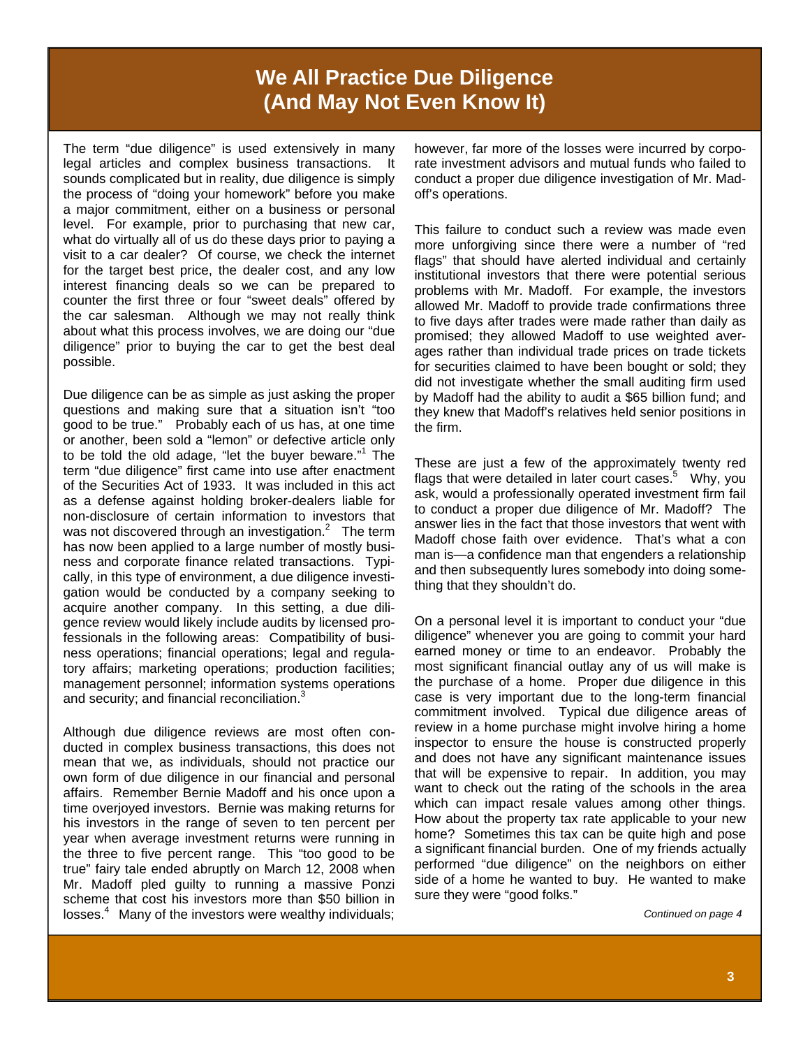# **We All Practice Due Diligence (And May Not Even Know It)**

The term "due diligence" is used extensively in many legal articles and complex business transactions. It sounds complicated but in reality, due diligence is simply the process of "doing your homework" before you make a major commitment, either on a business or personal level. For example, prior to purchasing that new car, what do virtually all of us do these days prior to paying a visit to a car dealer? Of course, we check the internet for the target best price, the dealer cost, and any low interest financing deals so we can be prepared to counter the first three or four "sweet deals" offered by the car salesman. Although we may not really think about what this process involves, we are doing our "due diligence" prior to buying the car to get the best deal possible.

Due diligence can be as simple as just asking the proper questions and making sure that a situation isn't "too good to be true." Probably each of us has, at one time or another, been sold a "lemon" or defective article only to be told the old adage, "let the buyer beware."<sup>1</sup> The term "due diligence" first came into use after enactment of the Securities Act of 1933. It was included in this act as a defense against holding broker-dealers liable for non-disclosure of certain information to investors that was not discovered through an investigation. $2$  The term has now been applied to a large number of mostly business and corporate finance related transactions. Typically, in this type of environment, a due diligence investigation would be conducted by a company seeking to acquire another company. In this setting, a due diligence review would likely include audits by licensed professionals in the following areas: Compatibility of business operations; financial operations; legal and regulatory affairs; marketing operations; production facilities; management personnel; information systems operations and security; and financial reconciliation.<sup>3</sup>

Although due diligence reviews are most often conducted in complex business transactions, this does not mean that we, as individuals, should not practice our own form of due diligence in our financial and personal affairs. Remember Bernie Madoff and his once upon a time overjoyed investors. Bernie was making returns for his investors in the range of seven to ten percent per year when average investment returns were running in the three to five percent range. This "too good to be true" fairy tale ended abruptly on March 12, 2008 when Mr. Madoff pled guilty to running a massive Ponzi scheme that cost his investors more than \$50 billion in losses.<sup>4</sup> Many of the investors were wealthy individuals;

however, far more of the losses were incurred by corporate investment advisors and mutual funds who failed to conduct a proper due diligence investigation of Mr. Madoff's operations.

This failure to conduct such a review was made even more unforgiving since there were a number of "red flags" that should have alerted individual and certainly institutional investors that there were potential serious problems with Mr. Madoff. For example, the investors allowed Mr. Madoff to provide trade confirmations three to five days after trades were made rather than daily as promised; they allowed Madoff to use weighted averages rather than individual trade prices on trade tickets for securities claimed to have been bought or sold; they did not investigate whether the small auditing firm used by Madoff had the ability to audit a \$65 billion fund; and they knew that Madoff's relatives held senior positions in the firm.

These are just a few of the approximately twenty red flags that were detailed in later court cases.<sup>5</sup> Why, you ask, would a professionally operated investment firm fail to conduct a proper due diligence of Mr. Madoff? The answer lies in the fact that those investors that went with Madoff chose faith over evidence. That's what a con man is—a confidence man that engenders a relationship and then subsequently lures somebody into doing something that they shouldn't do.

On a personal level it is important to conduct your "due diligence" whenever you are going to commit your hard earned money or time to an endeavor. Probably the most significant financial outlay any of us will make is the purchase of a home. Proper due diligence in this case is very important due to the long-term financial commitment involved. Typical due diligence areas of review in a home purchase might involve hiring a home inspector to ensure the house is constructed properly and does not have any significant maintenance issues that will be expensive to repair. In addition, you may want to check out the rating of the schools in the area which can impact resale values among other things. How about the property tax rate applicable to your new home? Sometimes this tax can be quite high and pose a significant financial burden. One of my friends actually performed "due diligence" on the neighbors on either side of a home he wanted to buy. He wanted to make sure they were "good folks."

*Continued on page 4*